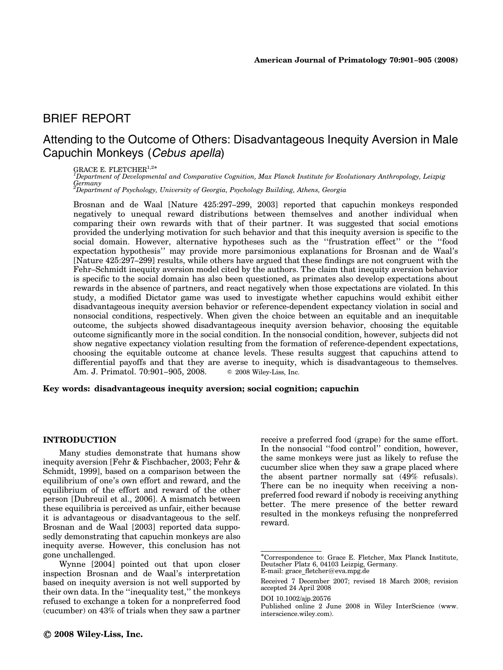# BRIEF REPORT

# Attending to the Outcome of Others: Disadvantageous Inequity Aversion in Male Capuchin Monkeys (Cebus apella)

GRACE E. FLETCHER<sup>1,2\*</sup>

<sup>1</sup>Department of Developmental and Comparative Cognition, Max Planck Institute for Evolutionary Anthropology, Leizpig Germany 2 Department of Psychology, University of Georgia, Psychology Building, Athens, Georgia

Brosnan and de Waal [Nature 425:297–299, 2003] reported that capuchin monkeys responded negatively to unequal reward distributions between themselves and another individual when comparing their own rewards with that of their partner. It was suggested that social emotions provided the underlying motivation for such behavior and that this inequity aversion is specific to the social domain. However, alternative hypotheses such as the ''frustration effect'' or the ''food expectation hypothesis'' may provide more parsimonious explanations for Brosnan and de Waal's [Nature 425:297–299] results, while others have argued that these findings are not congruent with the Fehr–Schmidt inequity aversion model cited by the authors. The claim that inequity aversion behavior is specific to the social domain has also been questioned, as primates also develop expectations about rewards in the absence of partners, and react negatively when those expectations are violated. In this study, a modified Dictator game was used to investigate whether capuchins would exhibit either disadvantageous inequity aversion behavior or reference-dependent expectancy violation in social and nonsocial conditions, respectively. When given the choice between an equitable and an inequitable outcome, the subjects showed disadvantageous inequity aversion behavior, choosing the equitable outcome significantly more in the social condition. In the nonsocial condition, however, subjects did not show negative expectancy violation resulting from the formation of reference-dependent expectations, choosing the equitable outcome at chance levels. These results suggest that capuchins attend to differential payoffs and that they are averse to inequity, which is disadvantageous to themselves.<br>Am. J. Primatol. 70:901–905, 2008.  $\circ$  2008 Wiley-Liss, Inc. Am. J. Primatol. 70:901-905, 2008.

Key words: disadvantageous inequity aversion; social cognition; capuchin

#### INTRODUCTION

Many studies demonstrate that humans show inequity aversion [Fehr & Fischbacher, 2003; Fehr & Schmidt, 1999], based on a comparison between the equilibrium of one's own effort and reward, and the equilibrium of the effort and reward of the other person [Dubreuil et al., 2006]. A mismatch between these equilibria is perceived as unfair, either because it is advantageous or disadvantageous to the self. Brosnan and de Waal [2003] reported data supposedly demonstrating that capuchin monkeys are also inequity averse. However, this conclusion has not gone unchallenged.

Wynne [2004] pointed out that upon closer inspection Brosnan and de Waal's interpretation based on inequity aversion is not well supported by their own data. In the ''inequality test,'' the monkeys refused to exchange a token for a nonpreferred food (cucumber) on 43% of trials when they saw a partner

receive a preferred food (grape) for the same effort. In the nonsocial ''food control'' condition, however, the same monkeys were just as likely to refuse the cucumber slice when they saw a grape placed where the absent partner normally sat (49% refusals). There can be no inequity when receiving a nonpreferred food reward if nobody is receiving anything better. The mere presence of the better reward resulted in the monkeys refusing the nonpreferred reward.

Correspondence to: Grace E. Fletcher, Max Planck Institute, Deutscher Platz 6, 04103 Leizpig, Germany. E-mail: grace\_fletcher@eva.mpg.de

Received 7 December 2007; revised 18 March 2008; revision accepted 24 April 2008

DOI 10.1002/ajp.20576

Published online 2 June 2008 in Wiley InterScience (www. interscience.wiley.com).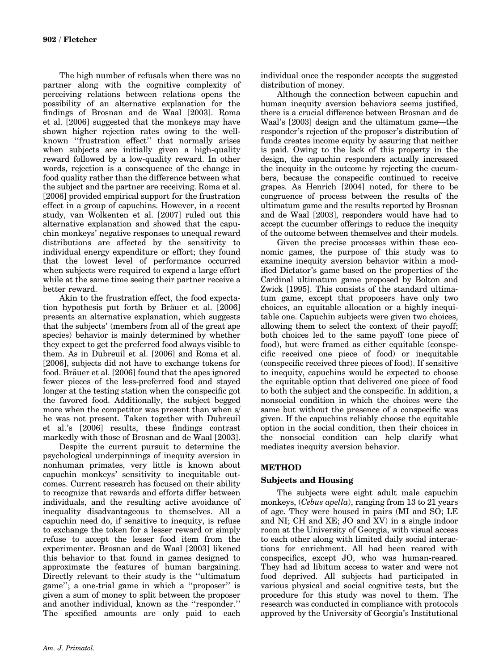The high number of refusals when there was no partner along with the cognitive complexity of perceiving relations between relations opens the possibility of an alternative explanation for the findings of Brosnan and de Waal [2003]. Roma et al. [2006] suggested that the monkeys may have shown higher rejection rates owing to the wellknown ''frustration effect'' that normally arises when subjects are initially given a high-quality reward followed by a low-quality reward. In other words, rejection is a consequence of the change in food quality rather than the difference between what the subject and the partner are receiving. Roma et al. [2006] provided empirical support for the frustration effect in a group of capuchins. However, in a recent study, van Wolkenten et al. [2007] ruled out this alternative explanation and showed that the capuchin monkeys' negative responses to unequal reward distributions are affected by the sensitivity to individual energy expenditure or effort; they found that the lowest level of performance occurred when subjects were required to expend a large effort while at the same time seeing their partner receive a better reward.

Akin to the frustration effect, the food expectation hypothesis put forth by Bräuer et al. [2006] presents an alternative explanation, which suggests that the subjects' (members from all of the great ape species) behavior is mainly determined by whether they expect to get the preferred food always visible to them. As in Dubreuil et al. [2006] and Roma et al. [2006], subjects did not have to exchange tokens for food. Bräuer et al. [2006] found that the apes ignored fewer pieces of the less-preferred food and stayed longer at the testing station when the conspecific got the favored food. Additionally, the subject begged more when the competitor was present than when s/ he was not present. Taken together with Dubreuil et al.'s [2006] results, these findings contrast markedly with those of Brosnan and de Waal [2003].

Despite the current pursuit to determine the psychological underpinnings of inequity aversion in nonhuman primates, very little is known about capuchin monkeys' sensitivity to inequitable outcomes. Current research has focused on their ability to recognize that rewards and efforts differ between individuals, and the resulting active avoidance of inequality disadvantageous to themselves. All a capuchin need do, if sensitive to inequity, is refuse to exchange the token for a lesser reward or simply refuse to accept the lesser food item from the experimenter. Brosnan and de Waal [2003] likened this behavior to that found in games designed to approximate the features of human bargaining. Directly relevant to their study is the ''ultimatum game''; a one-trial game in which a ''proposer'' is given a sum of money to split between the proposer and another individual, known as the ''responder.'' The specified amounts are only paid to each individual once the responder accepts the suggested distribution of money.

Although the connection between capuchin and human inequity aversion behaviors seems justified, there is a crucial difference between Brosnan and de Waal's [2003] design and the ultimatum game—the responder's rejection of the proposer's distribution of funds creates income equity by assuring that neither is paid. Owing to the lack of this property in the design, the capuchin responders actually increased the inequity in the outcome by rejecting the cucumbers, because the conspecific continued to receive grapes. As Henrich [2004] noted, for there to be congruence of process between the results of the ultimatum game and the results reported by Brosnan and de Waal [2003], responders would have had to accept the cucumber offerings to reduce the inequity of the outcome between themselves and their models.

Given the precise processes within these economic games, the purpose of this study was to examine inequity aversion behavior within a modified Dictator's game based on the properties of the Cardinal ultimatum game proposed by Bolton and Zwick [1995]. This consists of the standard ultimatum game, except that proposers have only two choices, an equitable allocation or a highly inequitable one. Capuchin subjects were given two choices, allowing them to select the context of their payoff; both choices led to the same payoff (one piece of food), but were framed as either equitable (conspecific received one piece of food) or inequitable (conspecific received three pieces of food). If sensitive to inequity, capuchins would be expected to choose the equitable option that delivered one piece of food to both the subject and the conspecific. In addition, a nonsocial condition in which the choices were the same but without the presence of a conspecific was given. If the capuchins reliably choose the equitable option in the social condition, then their choices in the nonsocial condition can help clarify what mediates inequity aversion behavior.

## METHOD

## Subjects and Housing

The subjects were eight adult male capuchin monkeys, (*Cebus apella*), ranging from 13 to 21 years of age. They were housed in pairs (MI and SO; LE and NI; CH and XE; JO and XV) in a single indoor room at the University of Georgia, with visual access to each other along with limited daily social interactions for enrichment. All had been reared with conspecifics, except JO, who was human-reared. They had ad libitum access to water and were not food deprived. All subjects had participated in various physical and social cognitive tests, but the procedure for this study was novel to them. The research was conducted in compliance with protocols approved by the University of Georgia's Institutional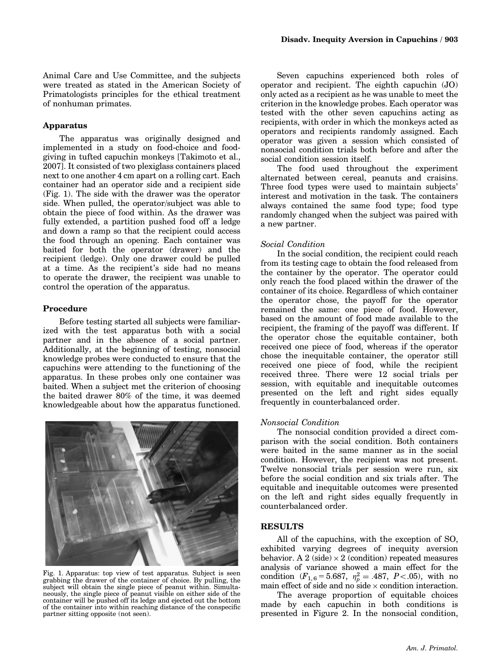Animal Care and Use Committee, and the subjects were treated as stated in the American Society of Primatologists principles for the ethical treatment of nonhuman primates.

#### Apparatus

The apparatus was originally designed and implemented in a study on food-choice and foodgiving in tufted capuchin monkeys [Takimoto et al., 2007]. It consisted of two plexiglass containers placed next to one another 4 cm apart on a rolling cart. Each container had an operator side and a recipient side (Fig. 1). The side with the drawer was the operator side. When pulled, the operator/subject was able to obtain the piece of food within. As the drawer was fully extended, a partition pushed food off a ledge and down a ramp so that the recipient could access the food through an opening. Each container was baited for both the operator (drawer) and the recipient (ledge). Only one drawer could be pulled at a time. As the recipient's side had no means to operate the drawer, the recipient was unable to control the operation of the apparatus.

#### Procedure

Before testing started all subjects were familiarized with the test apparatus both with a social partner and in the absence of a social partner. Additionally, at the beginning of testing, nonsocial knowledge probes were conducted to ensure that the capuchins were attending to the functioning of the apparatus. In these probes only one container was baited. When a subject met the criterion of choosing the baited drawer 80% of the time, it was deemed knowledgeable about how the apparatus functioned.



Fig. 1. Apparatus: top view of test apparatus. Subject is seen grabbing the drawer of the container of choice. By pulling, the subject will obtain the single piece of peanut within. Simulta-neously, the single piece of peanut visible on either side of the container will be pushed off its ledge and ejected out the bottom of the container into within reaching distance of the conspecific partner sitting opposite (not seen).

Seven capuchins experienced both roles of operator and recipient. The eighth capuchin (JO) only acted as a recipient as he was unable to meet the criterion in the knowledge probes. Each operator was tested with the other seven capuchins acting as recipients, with order in which the monkeys acted as operators and recipients randomly assigned. Each operator was given a session which consisted of nonsocial condition trials both before and after the social condition session itself.

The food used throughout the experiment alternated between cereal, peanuts and craisins. Three food types were used to maintain subjects' interest and motivation in the task. The containers always contained the same food type; food type randomly changed when the subject was paired with a new partner.

#### Social Condition

In the social condition, the recipient could reach from its testing cage to obtain the food released from the container by the operator. The operator could only reach the food placed within the drawer of the container of its choice. Regardless of which container the operator chose, the payoff for the operator remained the same: one piece of food. However, based on the amount of food made available to the recipient, the framing of the payoff was different. If the operator chose the equitable container, both received one piece of food, whereas if the operator chose the inequitable container, the operator still received one piece of food, while the recipient received three. There were 12 social trials per session, with equitable and inequitable outcomes presented on the left and right sides equally frequently in counterbalanced order.

#### Nonsocial Condition

The nonsocial condition provided a direct comparison with the social condition. Both containers were baited in the same manner as in the social condition. However, the recipient was not present. Twelve nonsocial trials per session were run, six before the social condition and six trials after. The equitable and inequitable outcomes were presented on the left and right sides equally frequently in counterbalanced order.

#### RESULTS

All of the capuchins, with the exception of SO, exhibited varying degrees of inequity aversion behavior. A 2 (side)  $\times$  2 (condition) repeated measures analysis of variance showed a main effect for the condition  $(F_{1,6} = 5.687, \eta_p^2 = .487, P < .05)$ , with no main effect of side and no side  $\times$  condition interaction.

The average proportion of equitable choices made by each capuchin in both conditions is presented in Figure 2. In the nonsocial condition,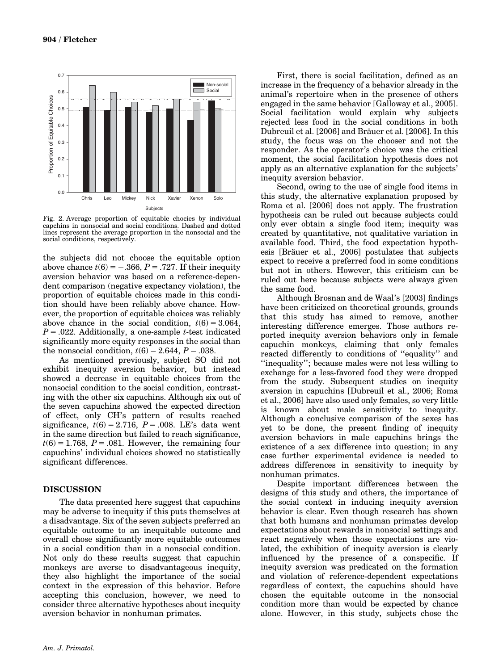

Fig. 2. Average proportion of equitable chocies by individual capchins in nonsocial and social conditions. Dashed and dotted lines represent the average proportion in the nonsocial and the social conditions, respectively.

the subjects did not choose the equitable option above chance  $t(6) = -.366$ ,  $P = .727$ . If their inequity aversion behavior was based on a reference-dependent comparison (negative expectancy violation), the proportion of equitable choices made in this condition should have been reliably above chance. However, the proportion of equitable choices was reliably above chance in the social condition,  $t(6) = 3.064$ ,  $P = .022$ . Additionally, a one-sample t-test indicated significantly more equity responses in the social than the nonsocial condition,  $t(6) = 2.644$ ,  $P = .038$ .

As mentioned previously, subject SO did not exhibit inequity aversion behavior, but instead showed a decrease in equitable choices from the nonsocial condition to the social condition, contrasting with the other six capuchins. Although six out of the seven capuchins showed the expected direction of effect, only CH's pattern of results reached significance,  $t(6) = 2.716$ ,  $P = .008$ . LE's data went in the same direction but failed to reach significance,  $t(6) = 1.768$ ,  $P = .081$ . However, the remaining four capuchins' individual choices showed no statistically significant differences.

#### DISCUSSION

The data presented here suggest that capuchins may be adverse to inequity if this puts themselves at a disadvantage. Six of the seven subjects preferred an equitable outcome to an inequitable outcome and overall chose significantly more equitable outcomes in a social condition than in a nonsocial condition. Not only do these results suggest that capuchin monkeys are averse to disadvantageous inequity, they also highlight the importance of the social context in the expression of this behavior. Before accepting this conclusion, however, we need to consider three alternative hypotheses about inequity aversion behavior in nonhuman primates.

First, there is social facilitation, defined as an increase in the frequency of a behavior already in the animal's repertoire when in the presence of others engaged in the same behavior [Galloway et al., 2005]. Social facilitation would explain why subjects rejected less food in the social conditions in both Dubreuil et al. [2006] and Bräuer et al. [2006]. In this study, the focus was on the chooser and not the responder. As the operator's choice was the critical moment, the social facilitation hypothesis does not apply as an alternative explanation for the subjects' inequity aversion behavior.

Second, owing to the use of single food items in this study, the alternative explanation proposed by Roma et al. [2006] does not apply. The frustration hypothesis can be ruled out because subjects could only ever obtain a single food item; inequity was created by quantitative, not qualitative variation in available food. Third, the food expectation hypothesis [Bräuer et al., 2006] postulates that subjects expect to receive a preferred food in some conditions but not in others. However, this criticism can be ruled out here because subjects were always given the same food.

Although Brosnan and de Waal's [2003] findings have been criticized on theoretical grounds, grounds that this study has aimed to remove, another interesting difference emerges. Those authors reported inequity aversion behaviors only in female capuchin monkeys, claiming that only females reacted differently to conditions of ''equality'' and ''inequality''; because males were not less willing to exchange for a less-favored food they were dropped from the study. Subsequent studies on inequity aversion in capuchins [Dubreuil et al., 2006; Roma et al., 2006] have also used only females, so very little is known about male sensitivity to inequity. Although a conclusive comparison of the sexes has yet to be done, the present finding of inequity aversion behaviors in male capuchins brings the existence of a sex difference into question; in any case further experimental evidence is needed to address differences in sensitivity to inequity by nonhuman primates.

Despite important differences between the designs of this study and others, the importance of the social context in inducing inequity aversion behavior is clear. Even though research has shown that both humans and nonhuman primates develop expectations about rewards in nonsocial settings and react negatively when those expectations are violated, the exhibition of inequity aversion is clearly influenced by the presence of a conspecific. If inequity aversion was predicated on the formation and violation of reference-dependent expectations regardless of context, the capuchins should have chosen the equitable outcome in the nonsocial condition more than would be expected by chance alone. However, in this study, subjects chose the